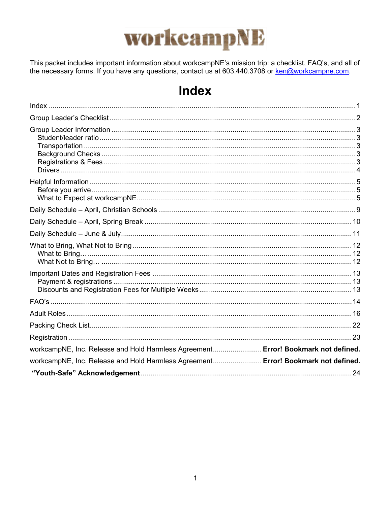

This packet includes important information about workcampNE's mission trip: a checklist, FAQ's, and all of the necessary forms. If you have any questions, contact us at 603.440.3708 or <u>ken@workcampne.com</u>.

## **Index**

| workcampNE, Inc. Release and Hold Harmless Agreement Error! Bookmark not defined. |  |
|-----------------------------------------------------------------------------------|--|
| workcampNE, Inc. Release and Hold Harmless Agreement Error! Bookmark not defined. |  |
|                                                                                   |  |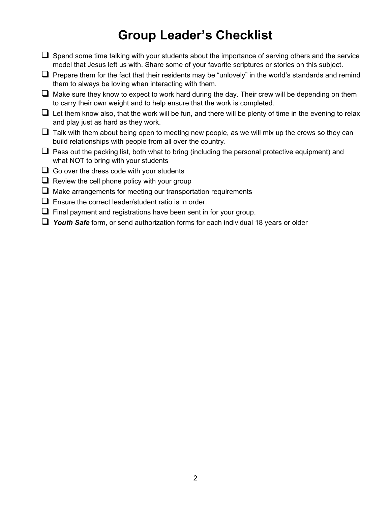## **Group Leader's Checklist**

- $\Box$  Spend some time talking with your students about the importance of serving others and the service model that Jesus left us with. Share some of your favorite scriptures or stories on this subject.
- $\Box$  Prepare them for the fact that their residents may be "unlovely" in the world's standards and remind them to always be loving when interacting with them.
- $\Box$  Make sure they know to expect to work hard during the day. Their crew will be depending on them to carry their own weight and to help ensure that the work is completed.
- $\Box$  Let them know also, that the work will be fun, and there will be plenty of time in the evening to relax and play just as hard as they work.
- $\Box$  Talk with them about being open to meeting new people, as we will mix up the crews so they can build relationships with people from all over the country.
- $\Box$  Pass out the packing list, both what to bring (including the personal protective equipment) and what **NOT** to bring with your students
- $\Box$  Go over the dress code with your students
- $\Box$  Review the cell phone policy with your group
- $\Box$  Make arrangements for meeting our transportation requirements
- $\Box$  Ensure the correct leader/student ratio is in order.
- $\Box$  Final payment and registrations have been sent in for your group.
- *Youth Safe* form, or send authorization forms for each individual 18 years or older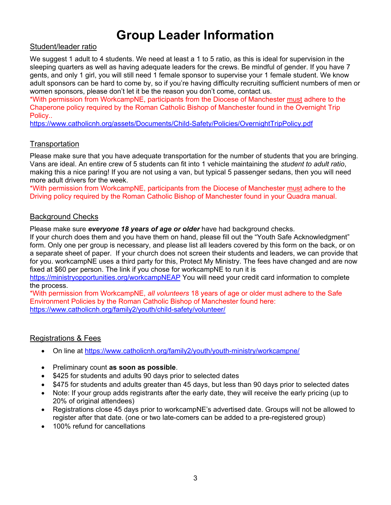## **Group Leader Information**

#### Student/leader ratio

We suggest 1 adult to 4 students. We need at least a 1 to 5 ratio, as this is ideal for supervision in the sleeping quarters as well as having adequate leaders for the crews. Be mindful of gender. If you have 7 gents, and only 1 girl, you will still need 1 female sponsor to supervise your 1 female student. We know adult sponsors can be hard to come by, so if you're having difficulty recruiting sufficient numbers of men or women sponsors, please don't let it be the reason you don't come, contact us.

\*With permission from WorkcampNE, participants from the Diocese of Manchester must adhere to the Chaperone policy required by the Roman Catholic Bishop of Manchester found in the Overnight Trip Policy..

<https://www.catholicnh.org/assets/Documents/Child-Safety/Policies/OvernightTripPolicy.pdf>

#### **Transportation**

Please make sure that you have adequate transportation for the number of students that you are bringing. Vans are ideal. An entire crew of 5 students can fit into 1 vehicle maintaining the *student to adult ratio*, making this a nice paring! If you are not using a van, but typical 5 passenger sedans, then you will need more adult drivers for the week.

\*With permission from WorkcampNE, participants from the Diocese of Manchester must adhere to the Driving policy required by the Roman Catholic Bishop of Manchester found in your Quadra manual.

#### Background Checks

Please make sure *everyone 18 years of age or older* have had background checks.

If your church does them and you have them on hand, please fill out the "Youth Safe Acknowledgment" form. Only one per group is necessary, and please list all leaders covered by this form on the back, or on a separate sheet of paper. If your church does not screen their students and leaders, we can provide that for you. workcampNE uses a third party for this, Protect My Ministry. The fees have changed and are now fixed at \$60 per person. The link if you chose for workcampNE to run it is

<https://ministryopportunities.org/workcampNEAP> You will need your credit card information to complete the process.

\*With permission from WorkcampNE, *all volunteers* 18 years of age or older must adhere to the Safe Environment Policies by the Roman Catholic Bishop of Manchester found here: <https://www.catholicnh.org/family2/youth/child-safety/volunteer/>

#### Registrations & Fees

- On line at<https://www.catholicnh.org/family2/youth/youth-ministry/workcampne/>
- Preliminary count **as soon as possible**.
- \$425 for students and adults 90 days prior to selected dates
- \$475 for students and adults greater than 45 days, but less than 90 days prior to selected dates
- Note: If your group adds registrants after the early date, they will receive the early pricing (up to 20% of original attendees)
- Registrations close 45 days prior to workcampNE's advertised date. Groups will not be allowed to register after that date. (one or two late-comers can be added to a pre-registered group)
- 100% refund for cancellations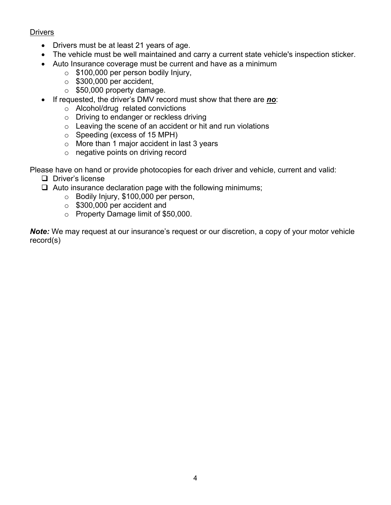#### **Drivers**

- Drivers must be at least 21 years of age.
- The vehicle must be well maintained and carry a current state vehicle's inspection sticker.
- Auto Insurance coverage must be current and have as a minimum
	- o \$100,000 per person bodily Injury,
	- $\circ$  \$300,000 per accident,
	- $\circ$  \$50,000 property damage.
- If requested, the driver's DMV record must show that there are *no*:
	- o Alcohol/drug related convictions
	- o Driving to endanger or reckless driving
	- $\circ$  Leaving the scene of an accident or hit and run violations
	- o Speeding (excess of 15 MPH)
	- o More than 1 major accident in last 3 years
	- o negative points on driving record

Please have on hand or provide photocopies for each driver and vehicle, current and valid:

- D Driver's license
- $\Box$  Auto insurance declaration page with the following minimums;
	- o Bodily Injury, \$100,000 per person,
	- o \$300,000 per accident and
	- o Property Damage limit of \$50,000.

**Note:** We may request at our insurance's request or our discretion, a copy of your motor vehicle record(s)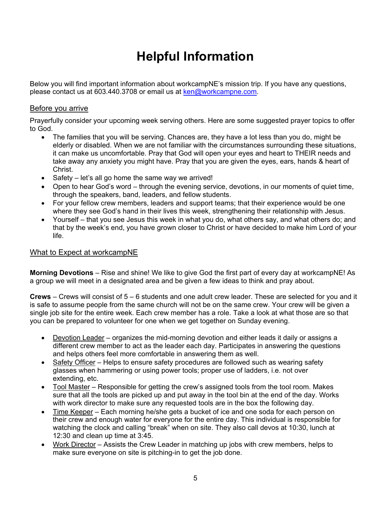## **Helpful Information**

Below you will find important information about workcampNE's mission trip. If you have any questions, please contact us at 603.440.3708 or email us at [ken@workcampne.com.](mailto:ken@workcampne.com)

#### Before you arrive

Prayerfully consider your upcoming week serving others. Here are some suggested prayer topics to offer to God.

- The families that you will be serving. Chances are, they have a lot less than you do, might be elderly or disabled. When we are not familiar with the circumstances surrounding these situations, it can make us uncomfortable. Pray that God will open your eyes and heart to THEIR needs and take away any anxiety you might have. Pray that you are given the eyes, ears, hands & heart of Christ.
- Safety let's all go home the same way we arrived!
- Open to hear God's word through the evening service, devotions, in our moments of quiet time, through the speakers, band, leaders, and fellow students.
- For your fellow crew members, leaders and support teams; that their experience would be one where they see God's hand in their lives this week, strengthening their relationship with Jesus.
- Yourself that you see Jesus this week in what you do, what others say, and what others do; and that by the week's end, you have grown closer to Christ or have decided to make him Lord of your life.

#### What to Expect at workcampNE

**Morning Devotions** – Rise and shine! We like to give God the first part of every day at workcampNE! As a group we will meet in a designated area and be given a few ideas to think and pray about.

**Crews** – Crews will consist of 5 – 6 students and one adult crew leader. These are selected for you and it is safe to assume people from the same church will not be on the same crew. Your crew will be given a single job site for the entire week. Each crew member has a role. Take a look at what those are so that you can be prepared to volunteer for one when we get together on Sunday evening.

- Devotion Leader organizes the mid-morning devotion and either leads it daily or assigns a different crew member to act as the leader each day. Participates in answering the questions and helps others feel more comfortable in answering them as well.
- Safety Officer Helps to ensure safety procedures are followed such as wearing safety glasses when hammering or using power tools; proper use of ladders, i.e. not over extending, etc.
- Tool Master Responsible for getting the crew's assigned tools from the tool room. Makes sure that all the tools are picked up and put away in the tool bin at the end of the day. Works with work director to make sure any requested tools are in the box the following day.
- Time Keeper Each morning he/she gets a bucket of ice and one soda for each person on their crew and enough water for everyone for the entire day. This individual is responsible for watching the clock and calling "break" when on site. They also call devos at 10:30, lunch at 12:30 and clean up time at 3:45.
- Work Director Assists the Crew Leader in matching up jobs with crew members, helps to make sure everyone on site is pitching-in to get the job done.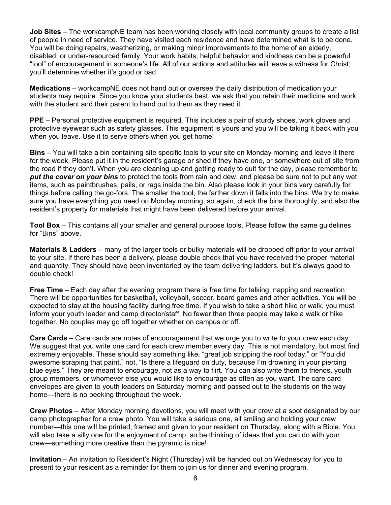**Job Sites** – The workcampNE team has been working closely with local community groups to create a list of people in need of service. They have visited each residence and have determined what is to be done. You will be doing repairs, weatherizing, or making minor improvements to the home of an elderly, disabled, or under-resourced family. Your work habits, helpful behavior and kindness can be a powerful "tool" of encouragement in someone's life. All of our actions and attitudes will leave a witness for Christ; you'll determine whether it's good or bad.

**Medications** – workcampNE does not hand out or oversee the daily distribution of medication your students may require. Since you know your students best, we ask that you retain their medicine and work with the student and their parent to hand out to them as they need it.

**PPE** – Personal protective equipment is required. This includes a pair of sturdy shoes, work gloves and protective eyewear such as safety glasses. This equipment is yours and you will be taking it back with you when you leave. Use it to serve others when you get home!

**Bins** – You will take a bin containing site specific tools to your site on Monday morning and leave it there for the week. Please put it in the resident's garage or shed if they have one, or somewhere out of site from the road if they don't. When you are cleaning up and getting ready to quit for the day, please remember to *put the cover on your bins* to protect the tools from rain and dew, and please be sure not to put any wet items, such as paintbrushes, pails, or rags inside the bin. Also please look in your bins very carefully for things before calling the go-fors. The smaller the tool, the farther down it falls into the bins. We try to make sure you have everything you need on Monday morning, so again, check the bins thoroughly, and also the resident's property for materials that might have been delivered before your arrival.

**Tool Box** – This contains all your smaller and general purpose tools. Please follow the same guidelines for "Bins" above.

**Materials & Ladders** – many of the larger tools or bulky materials will be dropped off prior to your arrival to your site. If there has been a delivery, please double check that you have received the proper material and quantity. They should have been inventoried by the team delivering ladders, but it's always good to double check!

**Free Time** – Each day after the evening program there is free time for talking, napping and recreation. There will be opportunities for basketball, volleyball, soccer, board games and other activities. You will be expected to stay at the housing facility during free time. If you wish to take a short hike or walk, you must inform your youth leader and camp director/staff. No fewer than three people may take a walk or hike together. No couples may go off together whether on campus or off.

**Care Cards** – Care cards are notes of encouragement that we urge you to write to your crew each day. We suggest that you write one card for each crew member every day. This is not mandatory, but most find extremely enjoyable. These should say something like, "great job stripping the roof today," or "You did awesome scraping that paint," not, "Is there a lifeguard on duty, because I'm drowning in your piercing blue eyes." They are meant to encourage, not as a way to flirt. You can also write them to friends, youth group members, or whomever else you would like to encourage as often as you want. The care card envelopes are given to youth leaders on Saturday morning and passed out to the students on the way home—there is no peeking throughout the week.

**Crew Photos** – After Monday morning devotions, you will meet with your crew at a spot designated by our camp photographer for a crew photo. You will take a serious one, all smiling and holding your crew number—this one will be printed, framed and given to your resident on Thursday, along with a Bible. You will also take a silly one for the enjoyment of camp, so be thinking of ideas that you can do with your crew—something more creative than the pyramid is nice!

**Invitation** – An invitation to Resident's Night (Thursday) will be handed out on Wednesday for you to present to your resident as a reminder for them to join us for dinner and evening program.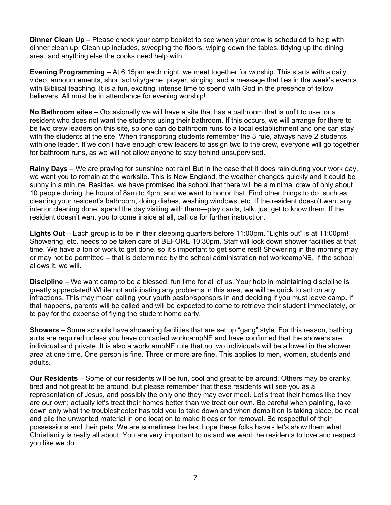**Dinner Clean Up** – Please check your camp booklet to see when your crew is scheduled to help with dinner clean up. Clean up includes, sweeping the floors, wiping down the tables, tidying up the dining area, and anything else the cooks need help with.

**Evening Programming** – At 6:15pm each night, we meet together for worship. This starts with a daily video, announcements, short activity/game, prayer, singing, and a message that ties in the week's events with Biblical teaching. It is a fun, exciting, intense time to spend with God in the presence of fellow believers. All must be in attendance for evening worship!

**No Bathroom sites** – Occasionally we will have a site that has a bathroom that is unfit to use, or a resident who does not want the students using their bathroom. If this occurs, we will arrange for there to be two crew leaders on this site, so one can do bathroom runs to a local establishment and one can stay with the students at the site. When transporting students remember the 3 rule, always have 2 students with one leader. If we don't have enough crew leaders to assign two to the crew, everyone will go together for bathroom runs, as we will not allow anyone to stay behind unsupervised.

**Rainy Days** – We are praying for sunshine not rain! But in the case that it does rain during your work day, we want you to remain at the worksite. This is New England, the weather changes quickly and it could be sunny in a minute. Besides, we have promised the school that there will be a minimal crew of only about 10 people during the hours of 8am to 4pm, and we want to honor that. Find other things to do, such as cleaning your resident's bathroom, doing dishes, washing windows, etc. If the resident doesn't want any interior cleaning done, spend the day visiting with them—play cards, talk, just get to know them. If the resident doesn't want you to come inside at all, call us for further instruction.

**Lights Out** – Each group is to be in their sleeping quarters before 11:00pm. "Lights out" is at 11:00pm! Showering, etc. needs to be taken care of BEFORE 10:30pm. Staff will lock down shower facilities at that time. We have a ton of work to get done, so it's important to get some rest! Showering in the morning may or may not be permitted – that is determined by the school administration not workcampNE. If the school allows it, we will.

**Discipline** – We want camp to be a blessed, fun time for all of us. Your help in maintaining discipline is greatly appreciated! While not anticipating any problems in this area, we will be quick to act on any infractions. This may mean calling your youth pastor/sponsors in and deciding if you must leave camp. If that happens, parents will be called and will be expected to come to retrieve their student immediately, or to pay for the expense of flying the student home early.

**Showers** – Some schools have showering facilities that are set up "gang" style. For this reason, bathing suits are required unless you have contacted workcampNE and have confirmed that the showers are individual and private. It is also a workcampNE rule that no two individuals will be allowed in the shower area at one time. One person is fine. Three or more are fine. This applies to men, women, students and adults.

**Our Residents** – Some of our residents will be fun, cool and great to be around. Others may be cranky, tired and not great to be around, but please remember that these residents will see you as a representation of Jesus, and possibly the only one they may ever meet. Let's treat their homes like they are our own; actually let's treat their homes better than we treat our own. Be careful when painting, take down only what the troubleshooter has told you to take down and when demolition is taking place, be neat and pile the unwanted material in one location to make it easier for removal. Be respectful of their possessions and their pets. We are sometimes the last hope these folks have - let's show them what Christianity is really all about. You are very important to us and we want the residents to love and respect you like we do.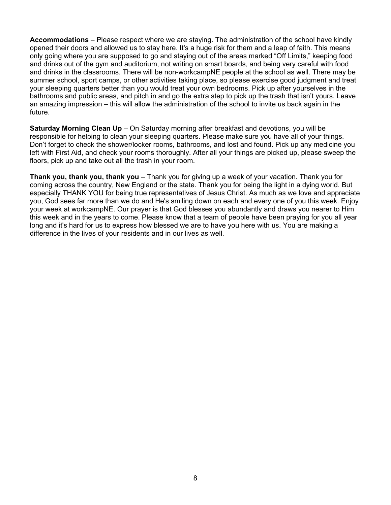**Accommodations** – Please respect where we are staying. The administration of the school have kindly opened their doors and allowed us to stay here. It's a huge risk for them and a leap of faith. This means only going where you are supposed to go and staying out of the areas marked "Off Limits," keeping food and drinks out of the gym and auditorium, not writing on smart boards, and being very careful with food and drinks in the classrooms. There will be non-workcampNE people at the school as well. There may be summer school, sport camps, or other activities taking place, so please exercise good judgment and treat your sleeping quarters better than you would treat your own bedrooms. Pick up after yourselves in the bathrooms and public areas, and pitch in and go the extra step to pick up the trash that isn't yours. Leave an amazing impression – this will allow the administration of the school to invite us back again in the future.

**Saturday Morning Clean Up** – On Saturday morning after breakfast and devotions, you will be responsible for helping to clean your sleeping quarters. Please make sure you have all of your things. Don't forget to check the shower/locker rooms, bathrooms, and lost and found. Pick up any medicine you left with First Aid, and check your rooms thoroughly. After all your things are picked up, please sweep the floors, pick up and take out all the trash in your room.

**Thank you, thank you, thank you** – Thank you for giving up a week of your vacation. Thank you for coming across the country, New England or the state. Thank you for being the light in a dying world. But especially THANK YOU for being true representatives of Jesus Christ. As much as we love and appreciate you, God sees far more than we do and He's smiling down on each and every one of you this week. Enjoy your week at workcampNE. Our prayer is that God blesses you abundantly and draws you nearer to Him this week and in the years to come. Please know that a team of people have been praying for you all year long and it's hard for us to express how blessed we are to have you here with us. You are making a difference in the lives of your residents and in our lives as well.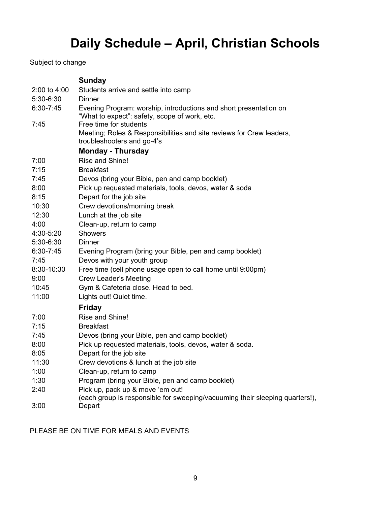## **Daily Schedule – April, Christian Schools**

Subject to change

|                  | <b>Sunday</b>                                                                                                      |
|------------------|--------------------------------------------------------------------------------------------------------------------|
| $2:00$ to $4:00$ | Students arrive and settle into camp                                                                               |
| 5:30-6:30        | Dinner                                                                                                             |
| 6:30-7:45        | Evening Program: worship, introductions and short presentation on<br>"What to expect": safety, scope of work, etc. |
| 7:45             | Free time for students                                                                                             |
|                  | Meeting; Roles & Responsibilities and site reviews for Crew leaders,<br>troubleshooters and go-4's                 |
|                  | <b>Monday - Thursday</b>                                                                                           |
| 7:00             | Rise and Shine!                                                                                                    |
| 7:15             | <b>Breakfast</b>                                                                                                   |
| 7:45             | Devos (bring your Bible, pen and camp booklet)                                                                     |
| 8:00             | Pick up requested materials, tools, devos, water & soda                                                            |
| 8:15             | Depart for the job site                                                                                            |
| 10:30            | Crew devotions/morning break                                                                                       |
| 12:30            | Lunch at the job site                                                                                              |
| 4:00             | Clean-up, return to camp                                                                                           |
| 4:30-5:20        | <b>Showers</b>                                                                                                     |
| 5:30-6:30        | Dinner                                                                                                             |
| 6:30-7:45        | Evening Program (bring your Bible, pen and camp booklet)                                                           |
| 7:45             | Devos with your youth group                                                                                        |
| 8:30-10:30       | Free time (cell phone usage open to call home until 9:00pm)                                                        |
| 9:00             | <b>Crew Leader's Meeting</b>                                                                                       |
| 10:45            | Gym & Cafeteria close. Head to bed.                                                                                |
| 11:00            | Lights out! Quiet time.                                                                                            |
|                  | <b>Friday</b>                                                                                                      |
| 7:00             | Rise and Shine!                                                                                                    |
| 7:15             | <b>Breakfast</b>                                                                                                   |
| 7:45             | Devos (bring your Bible, pen and camp booklet)                                                                     |
| 8:00             | Pick up requested materials, tools, devos, water & soda.                                                           |
| 8:05             | Depart for the job site                                                                                            |
| 11:30            | Crew devotions & lunch at the job site                                                                             |
| 1:00             | Clean-up, return to camp                                                                                           |
| 1:30             | Program (bring your Bible, pen and camp booklet)                                                                   |
| 2:40             | Pick up, pack up & move 'em out!                                                                                   |
| 3:00             | (each group is responsible for sweeping/vacuuming their sleeping quarters!),<br>Depart                             |

PLEASE BE ON TIME FOR MEALS AND EVENTS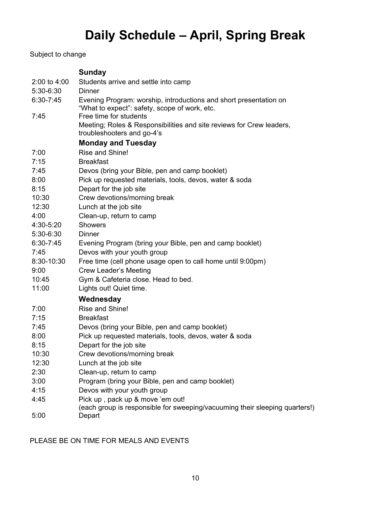# **Daily Schedule – April, Spring Break**

Subject to change

|                  | <b>Sunday</b>                                                                                                      |
|------------------|--------------------------------------------------------------------------------------------------------------------|
| $2:00$ to $4:00$ | Students arrive and settle into camp                                                                               |
| 5:30-6:30        | <b>Dinner</b>                                                                                                      |
| 6:30-7:45        | Evening Program: worship, introductions and short presentation on<br>"What to expect": safety, scope of work, etc. |
| 7:45             | Free time for students                                                                                             |
|                  | Meeting; Roles & Responsibilities and site reviews for Crew leaders,<br>troubleshooters and go-4's                 |
|                  | <b>Monday and Tuesday</b>                                                                                          |
| 7:00             | Rise and Shine!                                                                                                    |
| 7:15             | <b>Breakfast</b>                                                                                                   |
| 7:45             | Devos (bring your Bible, pen and camp booklet)                                                                     |
| 8:00             | Pick up requested materials, tools, devos, water & soda                                                            |
| 8:15             | Depart for the job site                                                                                            |
| 10:30            | Crew devotions/morning break                                                                                       |
| 12:30            | Lunch at the job site                                                                                              |
| 4:00             | Clean-up, return to camp                                                                                           |
| 4:30-5:20        | <b>Showers</b>                                                                                                     |
| $5:30-6:30$      | Dinner                                                                                                             |
| $6:30 - 7:45$    | Evening Program (bring your Bible, pen and camp booklet)                                                           |
| 7:45             | Devos with your youth group                                                                                        |
| 8:30-10:30       | Free time (cell phone usage open to call home until 9:00pm)                                                        |
| 9:00             | <b>Crew Leader's Meeting</b>                                                                                       |
| 10:45            | Gym & Cafeteria close. Head to bed.                                                                                |
| 11:00            | Lights out! Quiet time.                                                                                            |
|                  | Wednesday                                                                                                          |
| 7:00             | Rise and Shine!                                                                                                    |
| 7:15             | <b>Breakfast</b>                                                                                                   |
| 7:45             | Devos (bring your Bible, pen and camp booklet)                                                                     |
| 8:00             | Pick up requested materials, tools, devos, water & soda                                                            |
| 8:15             | Depart for the job site                                                                                            |
| 10:30            | Crew devotions/morning break                                                                                       |
| 12:30            | Lunch at the job site                                                                                              |
| 2:30             | Clean-up, return to camp                                                                                           |
| 3:00             | Program (bring your Bible, pen and camp booklet)                                                                   |
| 4:15             | Devos with your youth group                                                                                        |
| 4:45             | Pick up, pack up & move 'em out!                                                                                   |
| 5:00             | (each group is responsible for sweeping/vacuuming their sleeping quarters!)<br>Depart                              |
|                  |                                                                                                                    |

PLEASE BE ON TIME FOR MEALS AND EVENTS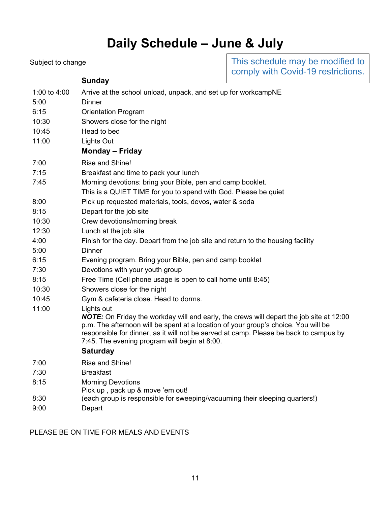# **Daily Schedule – June & July**

| Subject to change |                                                                                                                                                                                                                                                                                                                                       | This schedule may be modified to<br>comply with Covid-19 restrictions. |  |  |  |
|-------------------|---------------------------------------------------------------------------------------------------------------------------------------------------------------------------------------------------------------------------------------------------------------------------------------------------------------------------------------|------------------------------------------------------------------------|--|--|--|
|                   | <b>Sunday</b>                                                                                                                                                                                                                                                                                                                         |                                                                        |  |  |  |
| 1:00 to 4:00      | Arrive at the school unload, unpack, and set up for workcampNE                                                                                                                                                                                                                                                                        |                                                                        |  |  |  |
| 5:00              | Dinner                                                                                                                                                                                                                                                                                                                                |                                                                        |  |  |  |
| 6:15              | <b>Orientation Program</b>                                                                                                                                                                                                                                                                                                            |                                                                        |  |  |  |
| 10:30             | Showers close for the night                                                                                                                                                                                                                                                                                                           |                                                                        |  |  |  |
| 10:45             | Head to bed                                                                                                                                                                                                                                                                                                                           |                                                                        |  |  |  |
| 11:00             | Lights Out                                                                                                                                                                                                                                                                                                                            |                                                                        |  |  |  |
|                   | Monday – Friday                                                                                                                                                                                                                                                                                                                       |                                                                        |  |  |  |
| 7:00              | Rise and Shine!                                                                                                                                                                                                                                                                                                                       |                                                                        |  |  |  |
| 7:15              | Breakfast and time to pack your lunch                                                                                                                                                                                                                                                                                                 |                                                                        |  |  |  |
| 7:45              | Morning devotions: bring your Bible, pen and camp booklet.                                                                                                                                                                                                                                                                            |                                                                        |  |  |  |
|                   | This is a QUIET TIME for you to spend with God. Please be quiet                                                                                                                                                                                                                                                                       |                                                                        |  |  |  |
| 8:00              | Pick up requested materials, tools, devos, water & soda                                                                                                                                                                                                                                                                               |                                                                        |  |  |  |
| 8:15              | Depart for the job site                                                                                                                                                                                                                                                                                                               |                                                                        |  |  |  |
| 10:30             | Crew devotions/morning break                                                                                                                                                                                                                                                                                                          |                                                                        |  |  |  |
| 12:30             | Lunch at the job site                                                                                                                                                                                                                                                                                                                 |                                                                        |  |  |  |
| 4:00              | Finish for the day. Depart from the job site and return to the housing facility                                                                                                                                                                                                                                                       |                                                                        |  |  |  |
| 5:00              | <b>Dinner</b>                                                                                                                                                                                                                                                                                                                         |                                                                        |  |  |  |
| 6:15              | Evening program. Bring your Bible, pen and camp booklet                                                                                                                                                                                                                                                                               |                                                                        |  |  |  |
| 7:30              | Devotions with your youth group                                                                                                                                                                                                                                                                                                       |                                                                        |  |  |  |
| 8:15              | Free Time (Cell phone usage is open to call home until 8:45)                                                                                                                                                                                                                                                                          |                                                                        |  |  |  |
| 10:30             | Showers close for the night                                                                                                                                                                                                                                                                                                           |                                                                        |  |  |  |
| 10:45             | Gym & cafeteria close. Head to dorms.                                                                                                                                                                                                                                                                                                 |                                                                        |  |  |  |
| 11:00             | Lights out<br>NOTE: On Friday the workday will end early, the crews will depart the job site at 12:00<br>p.m. The afternoon will be spent at a location of your group's choice. You will be<br>responsible for dinner, as it will not be served at camp. Please be back to campus by<br>7:45. The evening program will begin at 8:00. |                                                                        |  |  |  |
|                   | <b>Saturday</b>                                                                                                                                                                                                                                                                                                                       |                                                                        |  |  |  |
| 7:00              | Rise and Shine!                                                                                                                                                                                                                                                                                                                       |                                                                        |  |  |  |
| 7:30              | <b>Breakfast</b>                                                                                                                                                                                                                                                                                                                      |                                                                        |  |  |  |
| 8:15              | <b>Morning Devotions</b><br>Pick up, pack up & move 'em out!                                                                                                                                                                                                                                                                          |                                                                        |  |  |  |
| 8:30              | (each group is responsible for sweeping/vacuuming their sleeping quarters!)                                                                                                                                                                                                                                                           |                                                                        |  |  |  |
| 9:00              | Depart                                                                                                                                                                                                                                                                                                                                |                                                                        |  |  |  |

PLEASE BE ON TIME FOR MEALS AND EVENTS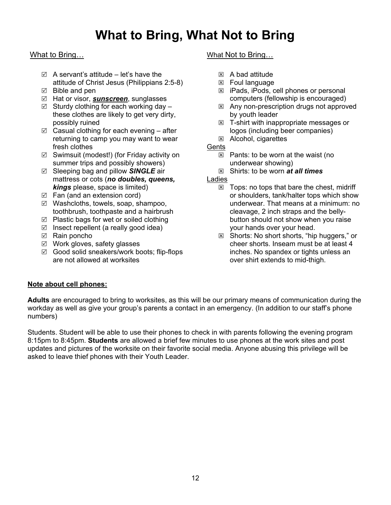## **What to Bring, What Not to Bring**

#### What to Bring…

- $\boxtimes$  A servant's attitude let's have the attitude of Christ Jesus (Philippians 2:5-8)
- $\boxtimes$  Bible and pen
- Hat or visor, *sunscreen*, sunglasses
- $\boxtimes$  Sturdy clothing for each working day these clothes are likely to get very dirty, possibly ruined
- $\boxtimes$  Casual clothing for each evening after returning to camp you may want to wear fresh clothes
- $\boxtimes$  Swimsuit (modest!) (for Friday activity on summer trips and possibly showers)
- Sleeping bag and pillow *SINGLE* air mattress or cots (*no doubles, queens, kings* please, space is limited)
- $\boxtimes$  Fan (and an extension cord)
- $\boxtimes$  Washcloths, towels, soap, shampoo, toothbrush, toothpaste and a hairbrush
- $\boxtimes$  Plastic bags for wet or soiled clothing
- $\boxtimes$  Insect repellent (a really good idea)
- $\boxtimes$  Rain poncho
- $\boxtimes$  Work gloves, safety glasses
- $\boxtimes$  Good solid sneakers/work boots; flip-flops are not allowed at worksites

#### What Not to Bring…

- $\boxtimes$  A bad attitude
- $\boxtimes$  Foul language
- $\boxtimes$  iPads, iPods, cell phones or personal computers (fellowship is encouraged)
- $\boxtimes$  Any non-prescription drugs not approved by youth leader
- $\boxtimes$  T-shirt with inappropriate messages or logos (including beer companies) Alcohol, cigarettes
- **Gents** 
	- $\boxtimes$  Pants: to be worn at the waist (no underwear showing)
	- Shirts: to be worn *at all times*

#### Ladies

- $\boxtimes$  Tops: no tops that bare the chest, midriff or shoulders, tank/halter tops which show underwear. That means at a minimum: no cleavage, 2 inch straps and the bellybutton should not show when you raise your hands over your head.
- $\boxtimes$  Shorts: No short shorts, "hip huggers," or cheer shorts. Inseam must be at least 4 inches. No spandex or tights unless an over shirt extends to mid-thigh.

#### **Note about cell phones:**

**Adults** are encouraged to bring to worksites, as this will be our primary means of communication during the workday as well as give your group's parents a contact in an emergency. (In addition to our staff's phone numbers)

Students. Student will be able to use their phones to check in with parents following the evening program 8:15pm to 8:45pm. **Students** are allowed a brief few minutes to use phones at the work sites and post updates and pictures of the worksite on their favorite social media. Anyone abusing this privilege will be asked to leave thief phones with their Youth Leader.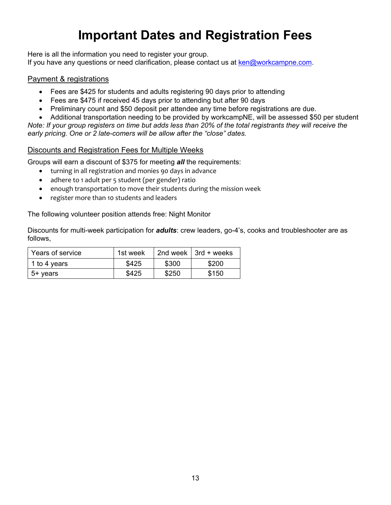## **Important Dates and Registration Fees**

Here is all the information you need to register your group. If you have any questions or need clarification, please contact us at [ken@workcampne.com.](mailto:ken@workcampne.com)

#### Payment & registrations

- Fees are \$425 for students and adults registering 90 days prior to attending
- Fees are \$475 if received 45 days prior to attending but after 90 days
- Preliminary count and \$50 deposit per attendee any time before registrations are due.
- Additional transportation needing to be provided by workcampNE, will be assessed \$50 per student

*Note: If your group registers on time but adds less than 20% of the total registrants they will receive the early pricing. One or 2 late-comers will be allow after the "close" dates.*

#### Discounts and Registration Fees for Multiple Weeks

Groups will earn a discount of \$375 for meeting *all* the requirements:

- turning in all registration and monies 90 days in advance
- adhere to 1 adult per 5 student (per gender) ratio
- enough transportation to move their students during the mission week
- register more than 10 students and leaders

The following volunteer position attends free: Night Monitor

Discounts for multi-week participation for *adults*: crew leaders, go-4's, cooks and troubleshooter are as follows,

| Years of service | 1st week |       | 2nd week $\vert$ 3rd + weeks |
|------------------|----------|-------|------------------------------|
| 1 to 4 years     | \$425    | \$300 | \$200                        |
| 5+ years         | \$425    | \$250 | \$150                        |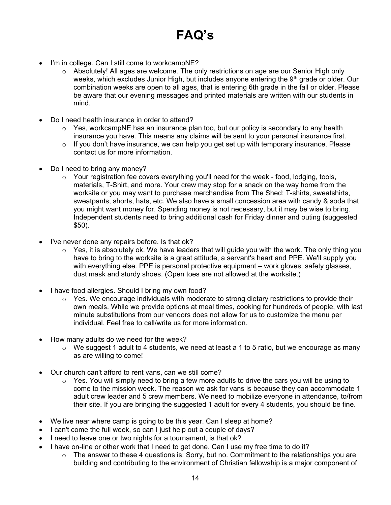# **FAQ's**

- I'm in college. Can I still come to workcampNE?
	- o Absolutely! All ages are welcome. The only restrictions on age are our Senior High only weeks, which excludes Junior High, but includes anyone entering the 9th grade or older. Our combination weeks are open to all ages, that is entering 6th grade in the fall or older. Please be aware that our evening messages and printed materials are written with our students in mind.
- Do I need health insurance in order to attend?
	- $\circ$  Yes, workcampNE has an insurance plan too, but our policy is secondary to any health insurance you have. This means any claims will be sent to your personal insurance first.
	- o If you don't have insurance, we can help you get set up with temporary insurance. Please contact us for more information.
- Do I need to bring any money?
	- o Your registration fee covers everything you'll need for the week food, lodging, tools, materials, T-Shirt, and more. Your crew may stop for a snack on the way home from the worksite or you may want to purchase merchandise from The Shed; T-shirts, sweatshirts, sweatpants, shorts, hats, etc. We also have a small concession area with candy & soda that you might want money for. Spending money is not necessary, but it may be wise to bring. Independent students need to bring additional cash for Friday dinner and outing (suggested \$50).
- I've never done any repairs before. Is that ok?
	- $\circ$  Yes, it is absolutely ok. We have leaders that will guide you with the work. The only thing you have to bring to the worksite is a great attitude, a servant's heart and PPE. We'll supply you with everything else. PPE is personal protective equipment – work gloves, safety glasses, dust mask and sturdy shoes. (Open toes are not allowed at the worksite.)
- I have food allergies. Should I bring my own food?
	- o Yes. We encourage individuals with moderate to strong dietary restrictions to provide their own meals. While we provide options at meal times, cooking for hundreds of people, with last minute substitutions from our vendors does not allow for us to customize the menu per individual. Feel free to call/write us for more information.
- How many adults do we need for the week?
	- $\circ$  We suggest 1 adult to 4 students, we need at least a 1 to 5 ratio, but we encourage as many as are willing to come!
- Our church can't afford to rent vans, can we still come?
	- $\circ$  Yes. You will simply need to bring a few more adults to drive the cars you will be using to come to the mission week. The reason we ask for vans is because they can accommodate 1 adult crew leader and 5 crew members. We need to mobilize everyone in attendance, to/from their site. If you are bringing the suggested 1 adult for every 4 students, you should be fine.
- We live near where camp is going to be this year. Can I sleep at home?
- I can't come the full week, so can I just help out a couple of days?
- I need to leave one or two nights for a tournament, is that ok?
- I have on-line or other work that I need to get done. Can I use my free time to do it?
	- o The answer to these 4 questions is: Sorry, but no. Commitment to the relationships you are building and contributing to the environment of Christian fellowship is a major component of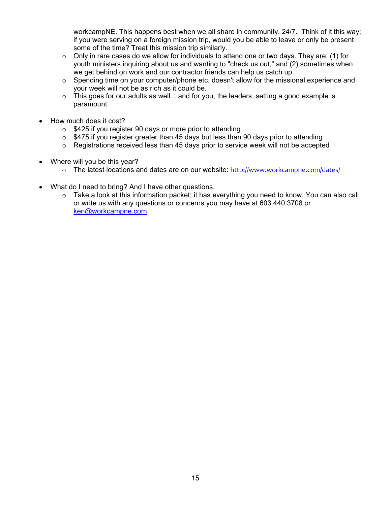workcampNE. This happens best when we all share in community, 24/7. Think of it this way; if you were serving on a foreign mission trip, would you be able to leave or only be present some of the time? Treat this mission trip similarly.

- $\circ$  Only in rare cases do we allow for individuals to attend one or two days. They are: (1) for youth ministers inquiring about us and wanting to "check us out," and (2) sometimes when we get behind on work and our contractor friends can help us catch up.
- $\circ$  Spending time on your computer/phone etc. doesn't allow for the missional experience and your week will not be as rich as it could be.
- $\circ$  This goes for our adults as well... and for you, the leaders, setting a good example is paramount.
- How much does it cost?
	- $\circ$  \$425 if you register 90 days or more prior to attending
	- $\circ$  \$475 if you register greater than 45 days but less than 90 days prior to attending
	- $\circ$  Registrations received less than 45 days prior to service week will not be accepted
- Where will you be this year?
	- o The latest locations and dates are on our website: <http://www.workcampne.com/dates/>
- What do I need to bring? And I have other questions.
	- $\circ$  Take a look at this information packet; it has everything you need to know. You can also call or write us with any questions or concerns you may have at 603.440.3708 or [ken@workcampne.com.](mailto:ken@workcampne.com)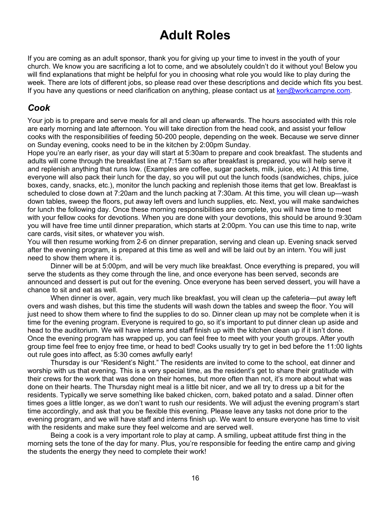## **Adult Roles**

If you are coming as an adult sponsor, thank you for giving up your time to invest in the youth of your church. We know you are sacrificing a lot to come, and we absolutely couldn't do it without you! Below you will find explanations that might be helpful for you in choosing what role you would like to play during the week. There are lots of different jobs, so please read over these descriptions and decide which fits you best. If you have any questions or need clarification on anything, please contact us at [ken@workcampne.com.](mailto:ken@workcampne.com)

### *Cook*

Your job is to prepare and serve meals for all and clean up afterwards. The hours associated with this role are early morning and late afternoon. You will take direction from the head cook, and assist your fellow cooks with the responsibilities of feeding 50-200 people, depending on the week. Because we serve dinner on Sunday evening, cooks need to be in the kitchen by 2:00pm Sunday.

Hope you're an early riser, as your day will start at 5:30am to prepare and cook breakfast. The students and adults will come through the breakfast line at 7:15am so after breakfast is prepared, you will help serve it and replenish anything that runs low. (Examples are coffee, sugar packets, milk, juice, etc.) At this time, everyone will also pack their lunch for the day, so you will put out the lunch foods (sandwiches, chips, juice boxes, candy, snacks, etc.), monitor the lunch packing and replenish those items that get low. Breakfast is scheduled to close down at 7:20am and the lunch packing at 7:30am. At this time, you will clean up—wash down tables, sweep the floors, put away left overs and lunch supplies, etc. Next, you will make sandwiches for lunch the following day. Once these morning responsibilities are complete, you will have time to meet with your fellow cooks for devotions. When you are done with your devotions, this should be around 9:30am you will have free time until dinner preparation, which starts at 2:00pm. You can use this time to nap, write care cards, visit sites, or whatever you wish.

You will then resume working from 2-6 on dinner preparation, serving and clean up. Evening snack served after the evening program, is prepared at this time as well and will be laid out by an intern. You will just need to show them where it is.

Dinner will be at 5:00pm, and will be very much like breakfast. Once everything is prepared, you will serve the students as they come through the line, and once everyone has been served, seconds are announced and dessert is put out for the evening. Once everyone has been served dessert, you will have a chance to sit and eat as well.

When dinner is over, again, very much like breakfast, you will clean up the cafeteria—put away left overs and wash dishes, but this time the students will wash down the tables and sweep the floor. You will just need to show them where to find the supplies to do so. Dinner clean up may not be complete when it is time for the evening program. Everyone is required to go, so it's important to put dinner clean up aside and head to the auditorium. We will have interns and staff finish up with the kitchen clean up if it isn't done. Once the evening program has wrapped up, you can feel free to meet with your youth groups. After youth group time feel free to enjoy free time, or head to bed! Cooks usually try to get in bed before the 11:00 lights out rule goes into affect, as 5:30 comes awfully early!

Thursday is our "Resident's Night." The residents are invited to come to the school, eat dinner and worship with us that evening. This is a very special time, as the resident's get to share their gratitude with their crews for the work that was done on their homes, but more often than not, it's more about what was done on their hearts. The Thursday night meal is a little bit nicer, and we all try to dress up a bit for the residents. Typically we serve something like baked chicken, corn, baked potato and a salad. Dinner often times goes a little longer, as we don't want to rush our residents. We will adjust the evening program's start time accordingly, and ask that you be flexible this evening. Please leave any tasks not done prior to the evening program, and we will have staff and interns finish up. We want to ensure everyone has time to visit with the residents and make sure they feel welcome and are served well.

Being a cook is a very important role to play at camp. A smiling, upbeat attitude first thing in the morning sets the tone of the day for many. Plus, you're responsible for feeding the entire camp and giving the students the energy they need to complete their work!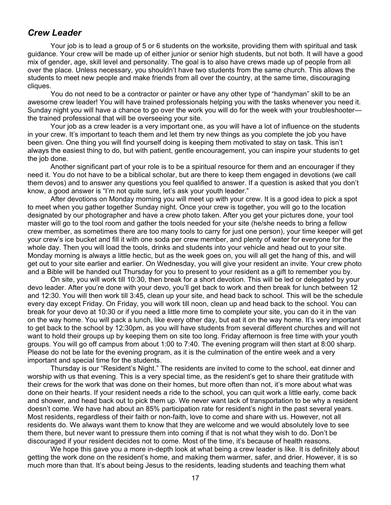### *Crew Leader*

Your job is to lead a group of 5 or 6 students on the worksite, providing them with spiritual and task guidance. Your crew will be made up of either junior or senior high students, but not both. It will have a good mix of gender, age, skill level and personality. The goal is to also have crews made up of people from all over the place. Unless necessary, you shouldn't have two students from the same church. This allows the students to meet new people and make friends from all over the country, at the same time, discouraging cliques.

You do not need to be a contractor or painter or have any other type of "handyman" skill to be an awesome crew leader! You will have trained professionals helping you with the tasks whenever you need it. Sunday night you will have a chance to go over the work you will do for the week with your troubleshooter the trained professional that will be overseeing your site.

Your job as a crew leader is a very important one, as you will have a lot of influence on the students in your crew. It's important to teach them and let them try new things as you complete the job you have been given. One thing you will find yourself doing is keeping them motivated to stay on task. This isn't always the easiest thing to do, but with patient, gentle encouragement, you can inspire your students to get the job done.

Another significant part of your role is to be a spiritual resource for them and an encourager if they need it. You do not have to be a biblical scholar, but are there to keep them engaged in devotions (we call them devos) and to answer any questions you feel qualified to answer. If a question is asked that you don't know, a good answer is "I'm not quite sure, let's ask your youth leader."

After devotions on Monday morning you will meet up with your crew. It is a good idea to pick a spot to meet when you gather together Sunday night. Once your crew is together, you will go to the location designated by our photographer and have a crew photo taken. After you get your pictures done, your tool master will go to the tool room and gather the tools needed for your site (he/she needs to bring a fellow crew member, as sometimes there are too many tools to carry for just one person), your time keeper will get your crew's ice bucket and fill it with one soda per crew member, and plenty of water for everyone for the whole day. Then you will load the tools, drinks and students into your vehicle and head out to your site. Monday morning is always a little hectic, but as the week goes on, you will all get the hang of this, and will get out to your site earlier and earlier. On Wednesday, you will give your resident an invite. Your crew photo and a Bible will be handed out Thursday for you to present to your resident as a gift to remember you by.

On site, you will work till 10:30, then break for a short devotion. This will be led or delegated by your devo leader. After you're done with your devo, you'll get back to work and then break for lunch between 12 and 12:30. You will then work till 3:45, clean up your site, and head back to school. This will be the schedule every day except Friday. On Friday, you will work till noon, clean up and head back to the school. You can break for your devo at 10:30 or if you need a little more time to complete your site, you can do it in the van on the way home. You will pack a lunch, like every other day, but eat it on the way home. It's very important to get back to the school by 12:30pm, as you will have students from several different churches and will not want to hold their groups up by keeping them on site too long. Friday afternoon is free time with your youth groups. You will go off campus from about 1:00 to 7:40. The evening program will then start at 8:00 sharp. Please do not be late for the evening program, as it is the culmination of the entire week and a very important and special time for the students.

Thursday is our "Resident's Night." The residents are invited to come to the school, eat dinner and worship with us that evening. This is a very special time, as the resident's get to share their gratitude with their crews for the work that was done on their homes, but more often than not, it's more about what was done on their hearts. If your resident needs a ride to the school, you can quit work a little early, come back and shower, and head back out to pick them up. We never want lack of transportation to be why a resident doesn't come. We have had about an 85% participation rate for resident's night in the past several years. Most residents, regardless of their faith or non-faith, love to come and share with us. However, not all residents do. We always want them to know that they are welcome and we would absolutely love to see them there, but never want to pressure them into coming if that is not what they wish to do. Don't be discouraged if your resident decides not to come. Most of the time, it's because of health reasons.

We hope this gave you a more in-depth look at what being a crew leader is like. It is definitely about getting the work done on the resident's home, and making them warmer, safer, and drier. However, it is so much more than that. It's about being Jesus to the residents, leading students and teaching them what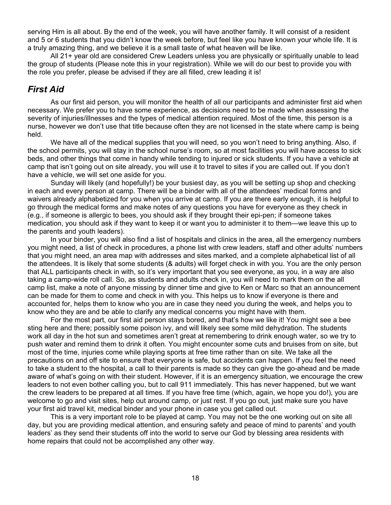serving Him is all about. By the end of the week, you will have another family. It will consist of a resident and 5 or 6 students that you didn't know the week before, but feel like you have known your whole life. It is a truly amazing thing, and we believe it is a small taste of what heaven will be like.

All 21+ year old are considered Crew Leaders unless you are physically or spiritually unable to lead the group of students (Please note this in your registration). While we will do our best to provide you with the role you prefer, please be advised if they are all filled, crew leading it is!

### *First Aid*

As our first aid person, you will monitor the health of all our participants and administer first aid when necessary. We prefer you to have some experience, as decisions need to be made when assessing the severity of injuries/illnesses and the types of medical attention required. Most of the time, this person is a nurse, however we don't use that title because often they are not licensed in the state where camp is being held.

We have all of the medical supplies that you will need, so you won't need to bring anything. Also, if the school permits, you will stay in the school nurse's room, so at most facilities you will have access to sick beds, and other things that come in handy while tending to injured or sick students. If you have a vehicle at camp that isn't going out on site already, you will use it to travel to sites if you are called out. If you don't have a vehicle, we will set one aside for you.

Sunday will likely (and hopefully!) be your busiest day, as you will be setting up shop and checking in each and every person at camp. There will be a binder with all of the attendees' medical forms and waivers already alphabetized for you when you arrive at camp. If you are there early enough, it is helpful to go through the medical forms and make notes of any questions you have for everyone as they check in (e.g., if someone is allergic to bees, you should ask if they brought their epi-pen; if someone takes medication, you should ask if they want to keep it or want you to administer it to them—we leave this up to the parents and youth leaders).

In your binder, you will also find a list of hospitals and clinics in the area, all the emergency numbers you might need, a list of check in procedures, a phone list with crew leaders, staff and other adults' numbers that you might need, an area map with addresses and sites marked, and a complete alphabetical list of all the attendees. It is likely that some students (& adults) will forget check in with you. You are the only person that ALL participants check in with, so it's very important that you see everyone, as you, in a way are also taking a camp-wide roll call. So, as students and adults check in, you will need to mark them on the all camp list, make a note of anyone missing by dinner time and give to Ken or Marc so that an announcement can be made for them to come and check in with you. This helps us to know if everyone is there and accounted for, helps them to know who you are in case they need you during the week, and helps you to know who they are and be able to clarify any medical concerns you might have with them.

For the most part, our first aid person stays bored, and that's how we like it! You might see a bee sting here and there; possibly some poison ivy, and will likely see some mild dehydration. The students work all day in the hot sun and sometimes aren't great at remembering to drink enough water, so we try to push water and remind them to drink it often. You might encounter some cuts and bruises from on site, but most of the time, injuries come while playing sports at free time rather than on site. We take all the precautions on and off site to ensure that everyone is safe, but accidents can happen. If you feel the need to take a student to the hospital, a call to their parents is made so they can give the go-ahead and be made aware of what's going on with their student. However, if it is an emergency situation, we encourage the crew leaders to not even bother calling you, but to call 911 immediately. This has never happened, but we want the crew leaders to be prepared at all times. If you have free time (which, again, we hope you do!), you are welcome to go and visit sites, help out around camp, or just rest. If you go out, just make sure you have your first aid travel kit, medical binder and your phone in case you get called out.

This is a very important role to be played at camp. You may not be the one working out on site all day, but you are providing medical attention, and ensuring safety and peace of mind to parents' and youth leaders' as they send their students off into the world to serve our God by blessing area residents with home repairs that could not be accomplished any other way.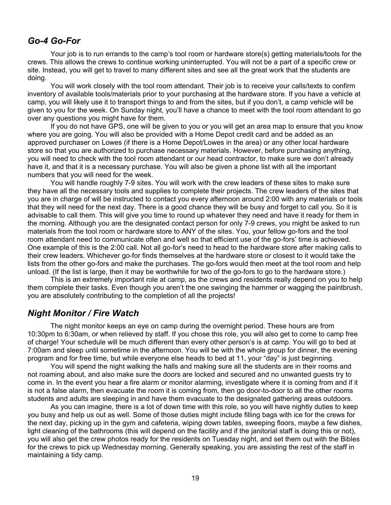### *Go-4 Go-For*

Your job is to run errands to the camp's tool room or hardware store(s) getting materials/tools for the crews. This allows the crews to continue working uninterrupted. You will not be a part of a specific crew or site. Instead, you will get to travel to many different sites and see all the great work that the students are doing.

You will work closely with the tool room attendant. Their job is to receive your calls/texts to confirm inventory of available tools/materials prior to your purchasing at the hardware store. If you have a vehicle at camp, you will likely use it to transport things to and from the sites, but if you don't, a camp vehicle will be given to you for the week. On Sunday night, you'll have a chance to meet with the tool room attendant to go over any questions you might have for them.

If you do not have GPS, one will be given to you or you will get an area map to ensure that you know where you are going. You will also be provided with a Home Depot credit card and be added as an approved purchaser on Lowes (if there is a Home Depot/Lowes in the area) or any other local hardware store so that you are authorized to purchase necessary materials. However, before purchasing anything, you will need to check with the tool room attendant or our head contractor, to make sure we don't already have it, and that it is a necessary purchase. You will also be given a phone list with all the important numbers that you will need for the week.

You will handle roughly 7-9 sites. You will work with the crew leaders of these sites to make sure they have all the necessary tools and supplies to complete their projects. The crew leaders of the sites that you are in charge of will be instructed to contact you every afternoon around 2:00 with any materials or tools that they will need for the next day. There is a good chance they will be busy and forget to call you. So it is advisable to call them. This will give you time to round up whatever they need and have it ready for them in the morning. Although you are the designated contact person for only 7-9 crews, you might be asked to run materials from the tool room or hardware store to ANY of the sites. You, your fellow go-fors and the tool room attendant need to communicate often and well so that efficient use of the go-fors' time is achieved. One example of this is the 2:00 call. Not all go-for's need to head to the hardware store after making calls to their crew leaders. Whichever go-for finds themselves at the hardware store or closest to it would take the lists from the other go-fors and make the purchases. The go-fors would then meet at the tool room and help unload. (If the list is large, then it may be worthwhile for two of the go-fors to go to the hardware store.)

This is an extremely important role at camp, as the crews and residents really depend on you to help them complete their tasks. Even though you aren't the one swinging the hammer or wagging the paintbrush, you are absolutely contributing to the completion of all the projects!

### *Night Monitor / Fire Watch*

The night monitor keeps an eye on camp during the overnight period. These hours are from 10:30pm to 6:30am, or when relieved by staff. If you chose this role, you will also get to come to camp free of charge! Your schedule will be much different than every other person's is at camp. You will go to bed at 7:00am and sleep until sometime in the afternoon. You will be with the whole group for dinner, the evening program and for free time, but while everyone else heads to bed at 11, your "day" is just beginning.

You will spend the night walking the halls and making sure all the students are in their rooms and not roaming about, and also make sure the doors are locked and secured and no unwanted guests try to come in. In the event you hear a fire alarm or monitor alarming, investigate where it is coming from and if it is not a false alarm, then evacuate the room it is coming from, then go door-to-door to all the other rooms students and adults are sleeping in and have them evacuate to the designated gathering areas outdoors.

As you can imagine, there is a lot of down time with this role, so you will have nightly duties to keep you busy and help us out as well. Some of those duties might include filling bags with ice for the crews for the next day, picking up in the gym and cafeteria, wiping down tables, sweeping floors, maybe a few dishes, light cleaning of the bathrooms (this will depend on the facility and if the janitorial staff is doing this or not), you will also get the crew photos ready for the residents on Tuesday night, and set them out with the Bibles for the crews to pick up Wednesday morning. Generally speaking, you are assisting the rest of the staff in maintaining a tidy camp.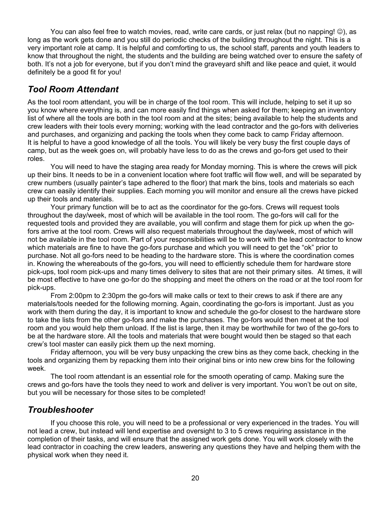You can also feel free to watch movies, read, write care cards, or just relax (but no napping!  $\circledcirc$ ), as long as the work gets done and you still do periodic checks of the building throughout the night. This is a very important role at camp. It is helpful and comforting to us, the school staff, parents and youth leaders to know that throughout the night, the students and the building are being watched over to ensure the safety of both. It's not a job for everyone, but if you don't mind the graveyard shift and like peace and quiet, it would definitely be a good fit for you!

### *Tool Room Attendant*

As the tool room attendant, you will be in charge of the tool room. This will include, helping to set it up so you know where everything is, and can more easily find things when asked for them; keeping an inventory list of where all the tools are both in the tool room and at the sites; being available to help the students and crew leaders with their tools every morning; working with the lead contractor and the go-fors with deliveries and purchases, and organizing and packing the tools when they come back to camp Friday afternoon. It is helpful to have a good knowledge of all the tools. You will likely be very busy the first couple days of camp, but as the week goes on, will probably have less to do as the crews and go-fors get used to their roles.

You will need to have the staging area ready for Monday morning. This is where the crews will pick up their bins. It needs to be in a convenient location where foot traffic will flow well, and will be separated by crew numbers (usually painter's tape adhered to the floor) that mark the bins, tools and materials so each crew can easily identify their supplies. Each morning you will monitor and ensure all the crews have picked up their tools and materials.

Your primary function will be to act as the coordinator for the go-fors. Crews will request tools throughout the day/week, most of which will be available in the tool room. The go-fors will call for the requested tools and provided they are available, you will confirm and stage them for pick up when the gofors arrive at the tool room. Crews will also request materials throughout the day/week, most of which will not be available in the tool room. Part of your responsibilities will be to work with the lead contractor to know which materials are fine to have the go-fors purchase and which you will need to get the "ok" prior to purchase. Not all go-fors need to be heading to the hardware store. This is where the coordination comes in. Knowing the whereabouts of the go-fors, you will need to efficiently schedule them for hardware store pick-ups, tool room pick-ups and many times delivery to sites that are not their primary sites. At times, it will be most effective to have one go-for do the shopping and meet the others on the road or at the tool room for pick-ups.

From 2:00pm to 2:30pm the go-fors will make calls or text to their crews to ask if there are any materials/tools needed for the following morning. Again, coordinating the go-fors is important. Just as you work with them during the day, it is important to know and schedule the go-for closest to the hardware store to take the lists from the other go-fors and make the purchases. The go-fors would then meet at the tool room and you would help them unload. If the list is large, then it may be worthwhile for two of the go-fors to be at the hardware store. All the tools and materials that were bought would then be staged so that each crew's tool master can easily pick them up the next morning.

Friday afternoon, you will be very busy unpacking the crew bins as they come back, checking in the tools and organizing them by repacking them into their original bins or into new crew bins for the following week.

The tool room attendant is an essential role for the smooth operating of camp. Making sure the crews and go-fors have the tools they need to work and deliver is very important. You won't be out on site, but you will be necessary for those sites to be completed!

### *Troubleshooter*

If you choose this role, you will need to be a professional or very experienced in the trades. You will not lead a crew, but instead will lend expertise and oversight to 3 to 5 crews requiring assistance in the completion of their tasks, and will ensure that the assigned work gets done. You will work closely with the lead contractor in coaching the crew leaders, answering any questions they have and helping them with the physical work when they need it.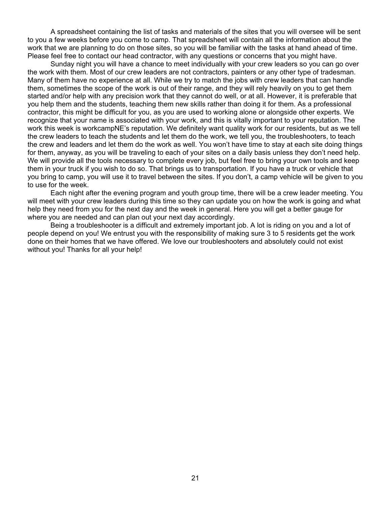A spreadsheet containing the list of tasks and materials of the sites that you will oversee will be sent to you a few weeks before you come to camp. That spreadsheet will contain all the information about the work that we are planning to do on those sites, so you will be familiar with the tasks at hand ahead of time. Please feel free to contact our head contractor, with any questions or concerns that you might have.

Sunday night you will have a chance to meet individually with your crew leaders so you can go over the work with them. Most of our crew leaders are not contractors, painters or any other type of tradesman. Many of them have no experience at all. While we try to match the jobs with crew leaders that can handle them, sometimes the scope of the work is out of their range, and they will rely heavily on you to get them started and/or help with any precision work that they cannot do well, or at all. However, it is preferable that you help them and the students, teaching them new skills rather than doing it for them. As a professional contractor, this might be difficult for you, as you are used to working alone or alongside other experts. We recognize that your name is associated with your work, and this is vitally important to your reputation. The work this week is workcampNE's reputation. We definitely want quality work for our residents, but as we tell the crew leaders to teach the students and let them do the work, we tell you, the troubleshooters, to teach the crew and leaders and let them do the work as well. You won't have time to stay at each site doing things for them, anyway, as you will be traveling to each of your sites on a daily basis unless they don't need help. We will provide all the tools necessary to complete every job, but feel free to bring your own tools and keep them in your truck if you wish to do so. That brings us to transportation. If you have a truck or vehicle that you bring to camp, you will use it to travel between the sites. If you don't, a camp vehicle will be given to you to use for the week.

Each night after the evening program and youth group time, there will be a crew leader meeting. You will meet with your crew leaders during this time so they can update you on how the work is going and what help they need from you for the next day and the week in general. Here you will get a better gauge for where you are needed and can plan out your next day accordingly.

Being a troubleshooter is a difficult and extremely important job. A lot is riding on you and a lot of people depend on you! We entrust you with the responsibility of making sure 3 to 5 residents get the work done on their homes that we have offered. We love our troubleshooters and absolutely could not exist without you! Thanks for all your help!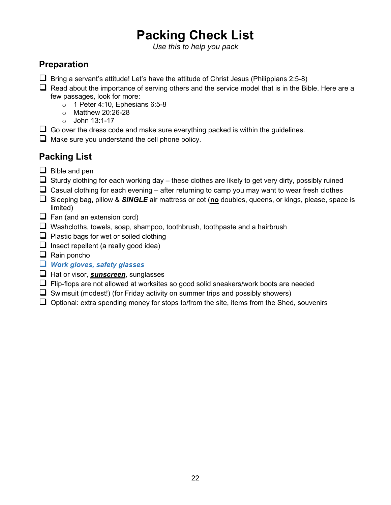# **Packing Check List**

*Use this to help you pack*

### **Preparation**

- $\square$  Bring a servant's attitude! Let's have the attitude of Christ Jesus (Philippians 2:5-8)
- $\Box$  Read about the importance of serving others and the service model that is in the Bible. Here are a few passages, look for more:
	- $\circ$  1 Peter 4:10, Ephesians 6:5-8
	- o Matthew 20:26-28
	- o John 13:1-17
- $\Box$  Go over the dress code and make sure everything packed is within the guidelines.
- $\Box$  Make sure you understand the cell phone policy.

### **Packing List**

- $\Box$  Bible and pen
- $\Box$  Sturdy clothing for each working day these clothes are likely to get very dirty, possibly ruined
- $\Box$  Casual clothing for each evening after returning to camp you may want to wear fresh clothes
- Sleeping bag, pillow & *SINGLE* air mattress or cot (**no** doubles, queens, or kings, please, space is limited)
- $\Box$  Fan (and an extension cord)
- $\Box$  Washcloths, towels, soap, shampoo, toothbrush, toothpaste and a hairbrush
- $\Box$  Plastic bags for wet or soiled clothing
- $\Box$  Insect repellent (a really good idea)
- $\Box$  Rain poncho

### *Work gloves, safety glasses*

- Hat or visor, *sunscreen*, sunglasses
- $\Box$  Flip-flops are not allowed at worksites so good solid sneakers/work boots are needed
- $\Box$  Swimsuit (modest!) (for Friday activity on summer trips and possibly showers)
- $\Box$  Optional: extra spending money for stops to/from the site, items from the Shed, souvenirs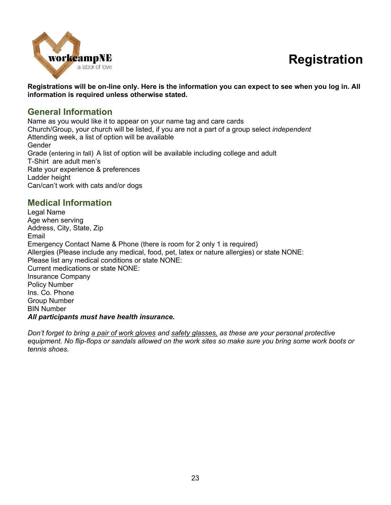## **Registration**



**Registrations will be on-line only. Here is the information you can expect to see when you log in. All information is required unless otherwise stated.**

### **General Information**

Name as you would like it to appear on your name tag and care cards Church/Group, your church will be listed, if you are not a part of a group select *independent* Attending week, a list of option will be available Gender Grade (entering in fall) A list of option will be available including college and adult T-Shirt are adult men's Rate your experience & preferences Ladder height Can/can't work with cats and/or dogs

### **Medical Information**

Legal Name Age when serving Address, City, State, Zip Email Emergency Contact Name & Phone (there is room for 2 only 1 is required) Allergies (Please include any medical, food, pet, latex or nature allergies) or state NONE: Please list any medical conditions or state NONE: Current medications or state NONE: Insurance Company Policy Number Ins. Co. Phone Group Number BIN Number *All participants must have health insurance.* 

*Don't forget to bring a pair of work gloves and safety glasses, as these are your personal protective equipment. No flip-flops or sandals allowed on the work sites so make sure you bring some work boots or tennis shoes.*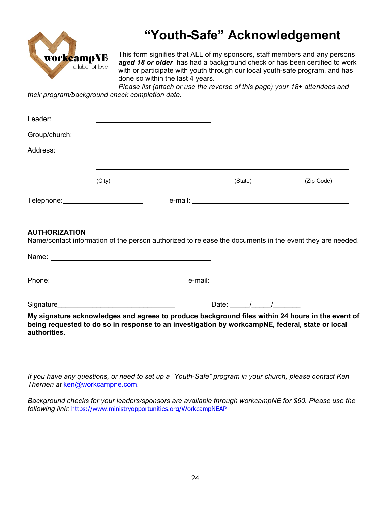

## **"Youth-Safe" Acknowledgement**

This form signifies that ALL of my sponsors, staff members and any persons *aged 18 or older* has had a background check or has been certified to work with or participate with youth through our local youth-safe program, and has done so within the last 4 years.

*Please list (attach or use the reverse of this page) your 18+ attendees and their program/background check completion date.*

| Leader:                                     |        |               |         |            |
|---------------------------------------------|--------|---------------|---------|------------|
| Group/church:                               |        |               |         |            |
| Address:                                    |        |               |         |            |
|                                             |        |               |         |            |
|                                             | (City) |               | (State) | (Zip Code) |
| Telephone: William Management Communication |        | e-mail: _____ |         |            |

#### **AUTHORIZATION**

Name/contact information of the person authorized to release the documents in the event they are needed.

|              |                                                                                                                                                                                                     | Date: $/$ / |  |  |
|--------------|-----------------------------------------------------------------------------------------------------------------------------------------------------------------------------------------------------|-------------|--|--|
| authorities. | My signature acknowledges and agrees to produce background files within 24 hours in the event of<br>being requested to do so in response to an investigation by workcampNE, federal, state or local |             |  |  |

*If you have any questions, or need to set up a "Youth-Safe" program in your church, please contact Ken Therrien at* [ken@workcampne.com.](mailto:ken@workcampne.com)

*Background checks for your leaders/sponsors are available through workcampNE for \$60. Please use the following link:* <https://www.ministryopportunities.org/WorkcampNEAP>